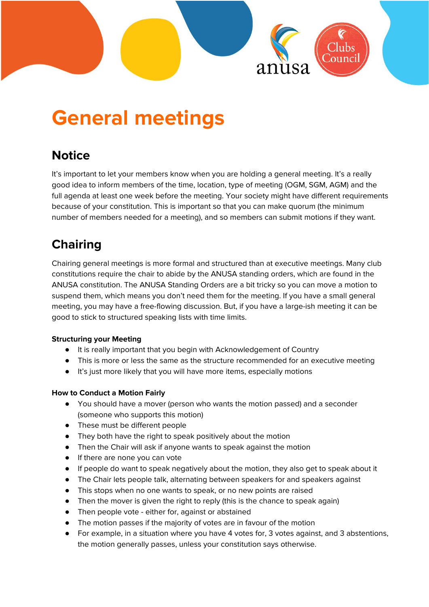

# **General meetings**

# **Notice**

It's important to let your members know when you are holding a general meeting. It's a really good idea to inform members of the time, location, type of meeting (OGM, SGM, AGM) and the full agenda at least one week before the meeting. Your society might have different requirements because of your constitution. This is important so that you can make quorum (the minimum number of members needed for a meeting), and so members can submit motions if they want.

# **Chairing**

Chairing general meetings is more formal and structured than at executive meetings. Many club constitutions require the chair to abide by the ANUSA standing orders, which are found in the ANUSA constitution. The ANUSA Standing Orders are a bit tricky so you can move a motion to suspend them, which means you don't need them for the meeting. If you have a small general meeting, you may have a free-flowing discussion. But, if you have a large-ish meeting it can be good to stick to structured speaking lists with time limits.

#### **Structuring your Meeting**

- It is really important that you begin with Acknowledgement of Country
- This is more or less the same as the structure recommended for an executive meeting
- It's just more likely that you will have more items, especially motions

#### **How to Conduct a Motion Fairly**

- You should have a mover (person who wants the motion passed) and a seconder (someone who supports this motion)
- These must be different people
- They both have the right to speak positively about the motion
- Then the Chair will ask if anyone wants to speak against the motion
- If there are none you can vote
- If people do want to speak negatively about the motion, they also get to speak about it
- The Chair lets people talk, alternating between speakers for and speakers against
- This stops when no one wants to speak, or no new points are raised
- Then the mover is given the right to reply (this is the chance to speak again)
- Then people vote either for, against or abstained
- The motion passes if the majority of votes are in favour of the motion
- For example, in a situation where you have 4 votes for, 3 votes against, and 3 abstentions, the motion generally passes, unless your constitution says otherwise.